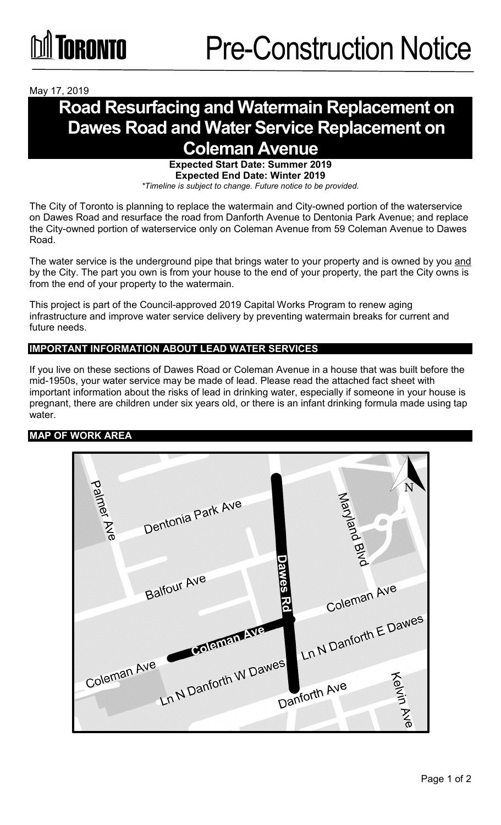## May 17, 2019

# **Road Resurfacing and Watermain Replacement on Dawes Road and Water Service Replacement on Coleman Avenue**

**Expected Start Date: Summer 2019 Expected End Date: Winter 2019** *\*Timeline is subject to change. Future notice to be provided.*

The City of Toronto is planning to replace the watermain and City-owned portion of the waterservice on Dawes Road and resurface the road from Danforth Avenue to Dentonia Park Avenue; and replace the City-owned portion of waterservice only on Coleman Avenue from 59 Coleman Avenue to Dawes Road.

The water service is the underground pipe that brings water to your property and is owned by you and by the City. The part you own is from your house to the end of your property, the part the City owns is from the end of your property to the watermain.

This project is part of the Council-approved 2019 Capital Works Program to renew aging infrastructure and improve water service delivery by preventing watermain breaks for current and future needs.

### **IMPORTANT INFORMATION ABOUT LEAD WATER SERVICES**

If you live on these sections of Dawes Road or Coleman Avenue in a house that was built before the mid-1950s, your water service may be made of lead. Please read the attached fact sheet with important information about the risks of lead in drinking water, especially if someone in your house is pregnant, there are children under six years old, or there is an infant drinking formula made using tap water.

## **MAP OF WORK AREA**